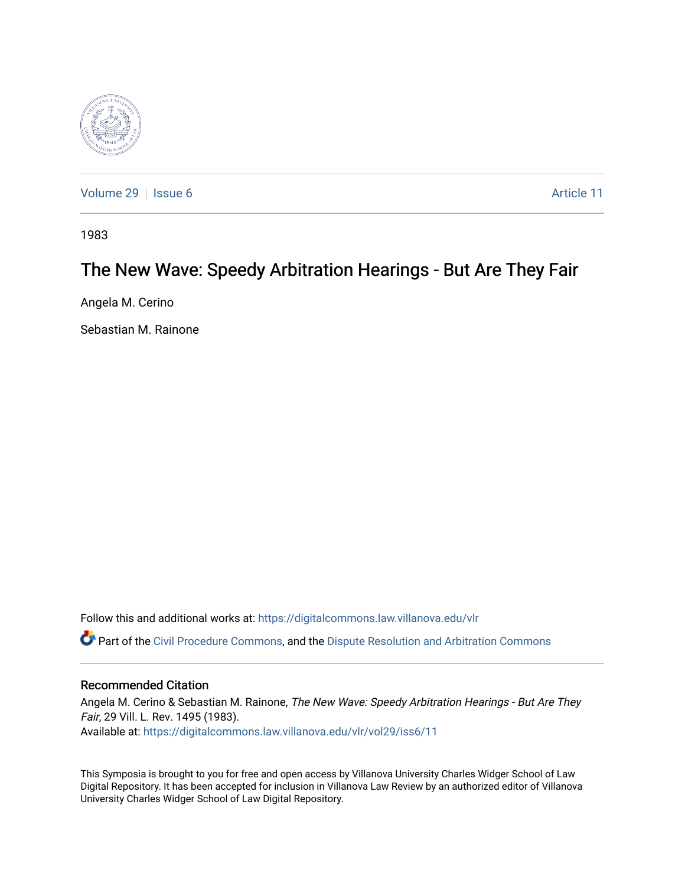

[Volume 29](https://digitalcommons.law.villanova.edu/vlr/vol29) | [Issue 6](https://digitalcommons.law.villanova.edu/vlr/vol29/iss6) Article 11

1983

# The New Wave: Speedy Arbitration Hearings - But Are They Fair

Angela M. Cerino

Sebastian M. Rainone

Follow this and additional works at: [https://digitalcommons.law.villanova.edu/vlr](https://digitalcommons.law.villanova.edu/vlr?utm_source=digitalcommons.law.villanova.edu%2Fvlr%2Fvol29%2Fiss6%2F11&utm_medium=PDF&utm_campaign=PDFCoverPages)

Part of the [Civil Procedure Commons,](http://network.bepress.com/hgg/discipline/584?utm_source=digitalcommons.law.villanova.edu%2Fvlr%2Fvol29%2Fiss6%2F11&utm_medium=PDF&utm_campaign=PDFCoverPages) and the [Dispute Resolution and Arbitration Commons](http://network.bepress.com/hgg/discipline/890?utm_source=digitalcommons.law.villanova.edu%2Fvlr%2Fvol29%2Fiss6%2F11&utm_medium=PDF&utm_campaign=PDFCoverPages) 

## Recommended Citation

Angela M. Cerino & Sebastian M. Rainone, The New Wave: Speedy Arbitration Hearings - But Are They Fair, 29 Vill. L. Rev. 1495 (1983). Available at: [https://digitalcommons.law.villanova.edu/vlr/vol29/iss6/11](https://digitalcommons.law.villanova.edu/vlr/vol29/iss6/11?utm_source=digitalcommons.law.villanova.edu%2Fvlr%2Fvol29%2Fiss6%2F11&utm_medium=PDF&utm_campaign=PDFCoverPages) 

This Symposia is brought to you for free and open access by Villanova University Charles Widger School of Law Digital Repository. It has been accepted for inclusion in Villanova Law Review by an authorized editor of Villanova University Charles Widger School of Law Digital Repository.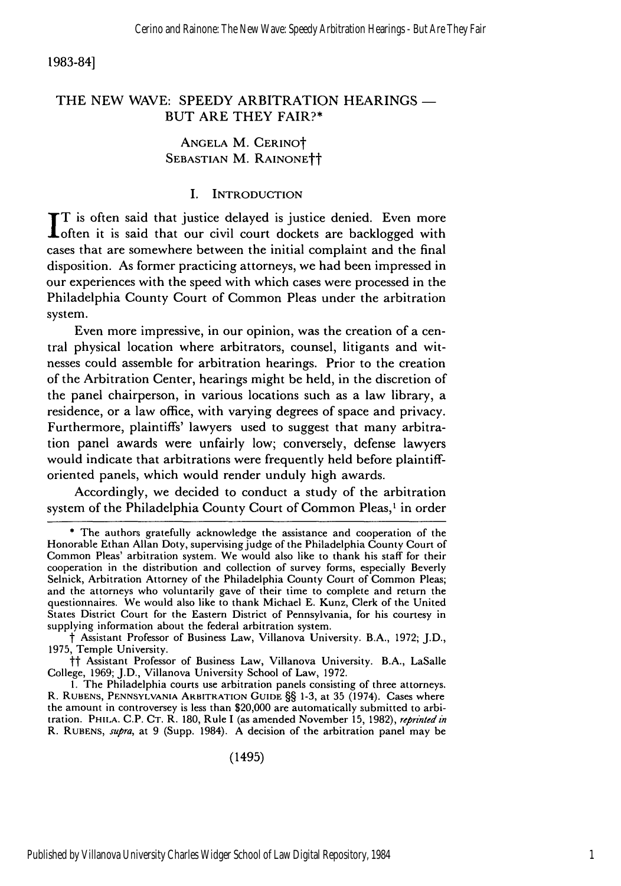1983-84]

## THE NEW WAVE: SPEEDY ARBITRATION HEARINGS -BUT ARE THEY FAIR?\*

## ANGELA M. CERINOt **SEBASTIAN** M. RAINONEtt

## I. INTRODUCTION

T is often said that justice delayed is justice denied. Even more often it is said that our civil court dockets are backlogged with cases that are somewhere between the initial complaint and the final disposition. As former practicing attorneys, we had been impressed in our experiences with the speed with which cases were processed in the Philadelphia County Court of Common Pleas under the arbitration system.

Even more impressive, in our opinion, was the creation of a central physical location where arbitrators, counsel, litigants and witnesses could assemble for arbitration hearings. Prior to the creation of the Arbitration Center, hearings might be held, in the discretion of the panel chairperson, in various locations such as a law library, a residence, or a law office, with varying degrees of space and privacy. Furthermore, plaintiffs' lawyers used to suggest that many arbitration panel awards were unfairly low; conversely, defense lawyers would indicate that arbitrations were frequently held before plaintifforiented panels, which would render unduly high awards.

Accordingly, we decided to conduct a study of the arbitration system of the Philadelphia County Court of Common Pleas,<sup>1</sup> in order

**<sup>\*</sup>** The authors gratefully acknowledge the assistance and cooperation of the Honorable Ethan Allan Doty, supervising judge of the Philadelphia County Court of Common Pleas' arbitration system. We would also like to thank his staff for their cooperation in the distribution and collection of survey forms, especially Beverly Selnick, Arbitration Attorney of the Philadelphia County Court of Common Pleas; and the attorneys who voluntarily gave of their time to complete and return the questionnaires. We would also like to thank Michael E. Kunz, Clerk of the United States District Court for the Eastern District of Pennsylvania, for his courtesy in supplying information about the federal arbitration system.

t Assistant Professor of Business Law, Villanova University. B.A., 1972; J.D., 1975, Temple University.

tt Assistant Professor of Business Law, Villanova University. B.A., LaSalle College, 1969; J.D., Villanova University School of Law, 1972.

I. The Philadelphia courts use arbitration panels consisting of three attorneys. R. **RUBENS, PENNSYLVANIA** ARBITRATION GUIDE §§ 1-3, at 35 (1974). Cases where the amount in controversey is less than \$20,000 are automatically submitted to arbitration. PHILA. C.P. CT. R. 180, Rule I (as amended November 15, 1982), *reprinted in* R. **RUBENS,** *supra,* at 9 (Supp. 1984). A decision of the arbitration panel may be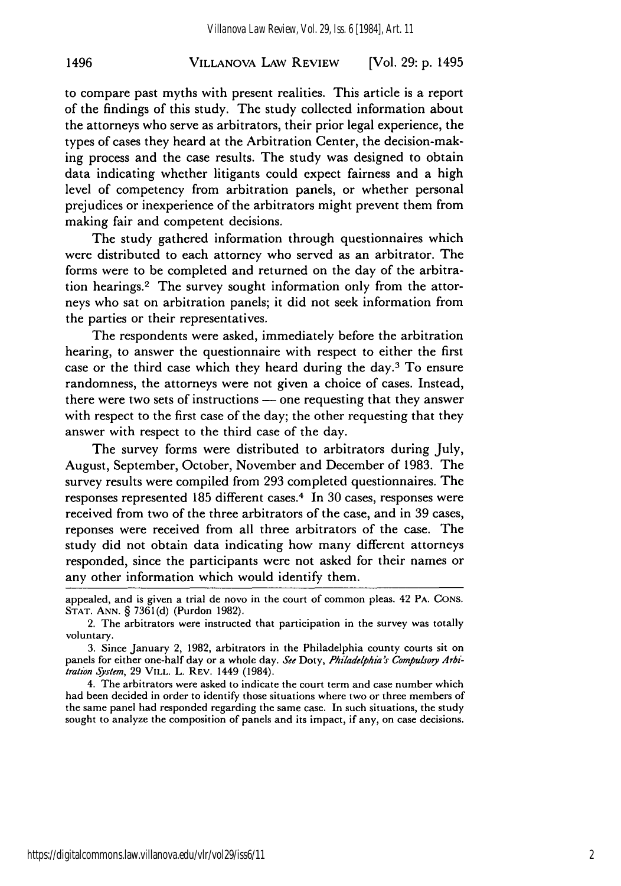## VILLANOVA LAW REVIEW 1496 [Vol. **29: p.** 1495

to compare past myths with present realities. This article is a report of the findings of this study. The study collected information about the attorneys who serve as arbitrators, their prior legal experience, the types of cases they heard at the Arbitration Center, the decision-making process and the case results. The study was designed to obtain data indicating whether litigants could expect fairness and a high level of competency from arbitration panels, or whether personal prejudices or inexperience of the arbitrators might prevent them from making fair and competent decisions.

The study gathered information through questionnaires which were distributed to each attorney who served as an arbitrator. The forms were to be completed and returned on the day of the arbitration hearings.<sup>2</sup> The survey sought information only from the attorneys who sat on arbitration panels; it did not seek information from the parties or their representatives.

The respondents were asked, immediately before the arbitration hearing, to answer the questionnaire with respect to either the first case or the third case which they heard during the day.<sup>3</sup> To ensure randomness, the attorneys were not given a choice of cases. Instead, there were two sets of instructions — one requesting that they answer with respect to the first case of the day; the other requesting that they answer with respect to the third case of the day.

The survey forms were distributed to arbitrators during July, August, September, October, November and December of 1983. The survey results were compiled from 293 completed questionnaires. The responses represented 185 different cases.<sup>4</sup> In 30 cases, responses were received from two of the three arbitrators of the case, and in 39 cases, reponses were received from all three arbitrators of the case. The study did not obtain data indicating how many different attorneys responded, since the participants were not asked for their names or any other information which would identify them.

4. The arbitrators were asked to indicate the court term and case number which had been decided in order to identify those situations where two or three members of the same panel had responded regarding the same case. In such situations, the study sought to analyze the composition of panels and its impact, if any, on case decisions.

https://digitalcommons.law.villanova.edu/vlr/vol29/iss6/11

appealed, and is given a trial de novo in the court of common pleas. 42 PA. **CONS. STAT. ANN.** § 7361(d) (Purdon 1982).

<sup>2.</sup> The arbitrators were instructed that participation in the survey was totally voluntary.

<sup>3.</sup> Since January 2, 1982, arbitrators in the Philadelphia county courts sit on panels for either one-half day or a whole day. See Doty, Philadelphia's Compulsory Arbi*tration System*, 29 VILL. L. REV. 1449 (1984).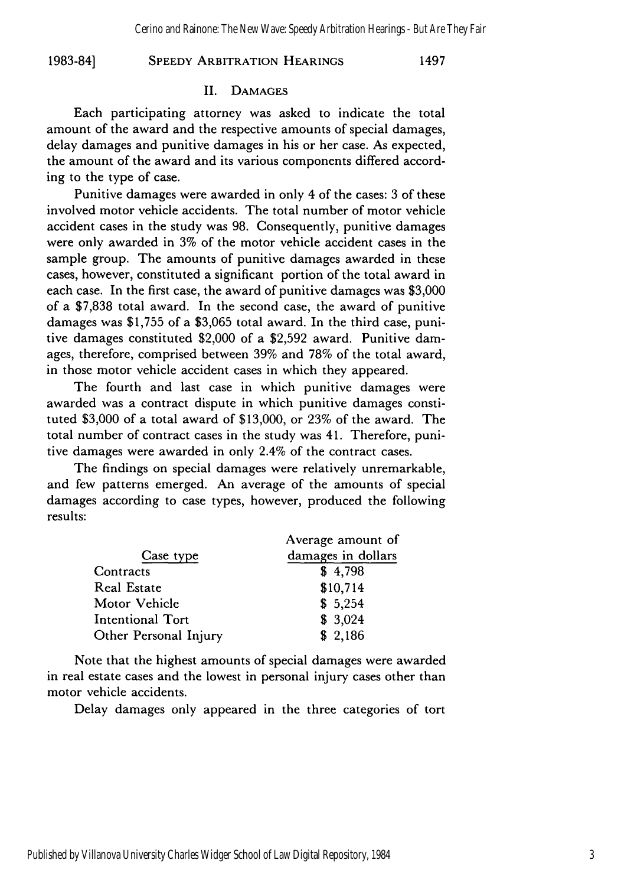#### **SPEEDY ARBITRATION HEARINGS 1983-84] 1497**

#### **II. DAMAGES**

Each participating attorney was asked to indicate the total amount of the award and the respective amounts of special damages, delay damages and punitive damages in his or her case. As expected, the amount of the award and its various components differed according to the type of case.

Punitive damages were awarded in only 4 of the cases: **3** of these involved motor vehicle accidents. The total number of motor vehicle accident cases in the study was **98.** Consequently, punitive damages were only awarded in **3%** of the motor vehicle accident cases in the sample group. The amounts of punitive damages awarded in these cases, however, constituted a significant portion of the total award in each case. In the first case, the award of punitive damages was **\$3,000** of a **\$7,838** total award. In the second case, the award of punitive damages was **\$1,755** of a **\$3,065** total award. In the third case, punitive damages constituted \$2,000 of a **\$2,592** award. Punitive damages, therefore, comprised between **39%** and **78%** of the total award, in those motor vehicle accident cases in which they appeared.

The fourth and last case in which punitive damages were awarded was a contract dispute in which punitive damages constituted **\$3,000** of a total award of **\$13,000,** or **23%** of the award. The total number of contract cases in the study was 41. Therefore, punitive damages were awarded in only 2.4% of the contract cases.

The findings on special damages were relatively unremarkable, and few patterns emerged. An average of the amounts of special damages according to case types, however, produced the following results:

|                       | Average amount of  |
|-----------------------|--------------------|
| Case type             | damages in dollars |
| Contracts             | \$4,798            |
| Real Estate           | \$10,714           |
| Motor Vehicle         | \$5,254            |
| Intentional Tort      | \$3,024            |
| Other Personal Injury | \$2,186            |

Note that the highest amounts of special damages were awarded in real estate cases and the lowest in personal injury cases other than motor vehicle accidents.

Delay damages only appeared in the three categories of tort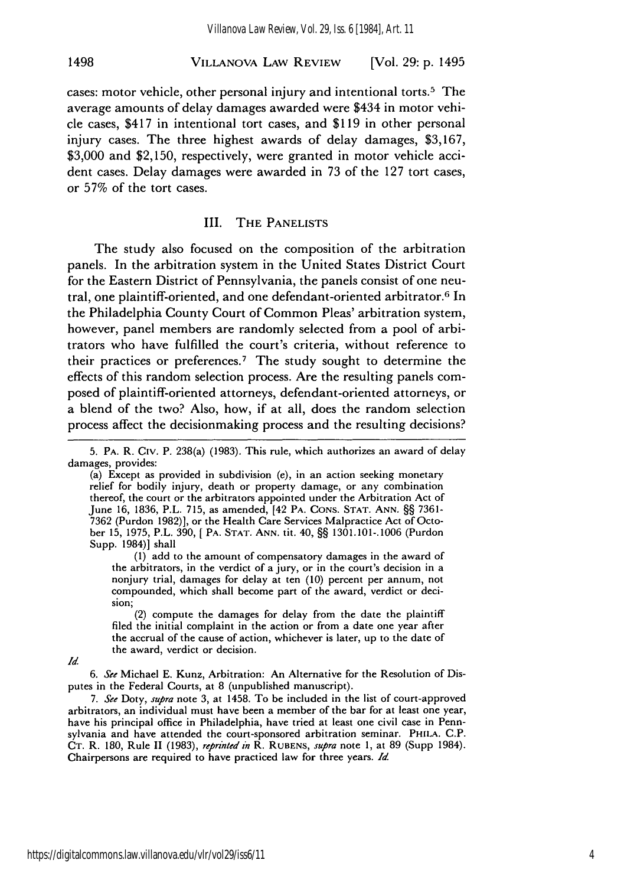## VILLANOVA LAW REVIEW 1498 [Vol. **29: p.** 1495

cases: motor vehicle, other personal injury and intentional torts. 5 The average amounts of delay damages awarded were \$434 in motor vehicle cases, \$417 in intentional tort cases, and \$119 in other personal injury cases. The three highest awards of delay damages, \$3,167, \$3,000 and \$2,150, respectively, were granted in motor vehicle accident cases. Delay damages were awarded in 73 of the 127 tort cases, or 57% of the tort cases.

#### III. **THE PANELISTS**

The study also focused on the composition of the arbitration panels. In the arbitration system in the United States District Court for the Eastern District of Pennsylvania, the panels consist of one neutral, one plaintiff-oriented, and one defendant-oriented arbitrator.6 In the Philadelphia County Court of Common Pleas' arbitration system, however, panel members are randomly selected from a pool of arbitrators who have fulfilled the court's criteria, without reference to their practices or preferences.<sup>7</sup> The study sought to determine the effects of this random selection process. Are the resulting panels composed of plaintiff-oriented attorneys, defendant-oriented attorneys, or a blend of the two? Also, how, if at all, does the random selection process affect the decisionmaking process and the resulting decisions?

(a) Except as provided in subdivision (e), in an action seeking monetary relief for bodily injury, death or property damage, or any combination thereof, the court or the arbitrators appointed under the Arbitration Act of June 16, 1836, P.L. 715, as amended, [42 PA. **CONS. STAT.** ANN. §§ 7361- 7362 (Purdon 1982)], or the Health Care Services Malpractice Act of October 15, 1975, P.L. 390, [ PA. **STAT.** ANN. tit. 40, §§ 1301.101-.1006 (Purdon Supp. 1984)] shall

(1) add to the amount of compensatory damages in the award of the arbitrators, in the verdict of a jury, or in the court's decision in a nonjury trial, damages for delay at ten (10) percent per annum, not compounded, which shall become part of the award, verdict or decision;

(2) compute the damages for delay from the date the plaintiff filed the initial complaint in the action or from a date one year after the accrual of the cause of action, whichever is later, up to the date of the award, verdict or decision.

*Id.*

6. *See* Michael E. Kunz, Arbitration: An Alternative for the Resolution of Disputes in the Federal Courts, at 8 (unpublished manuscript).

7. *See* Doty, *supra* note 3, at 1458. To be included in the list of court-approved arbitrators, an individual must have been a member of the bar for at least one year, have his principal office in Philadelphia, have tried at least one civil case in Pennsylvania and have attended the court-sponsored arbitration seminar. PHILA. C.P. CT. R. 180, Rule **11** (1983), *reprinted in* R. RUBENS, *supra* note 1, at 89 (Supp 1984). Chairpersons are required to have practiced law for three years. *Id*

**<sup>5.</sup>** PA. R. Civ. P. 238(a) (1983). This rule, which authorizes an award of delay damages, provides: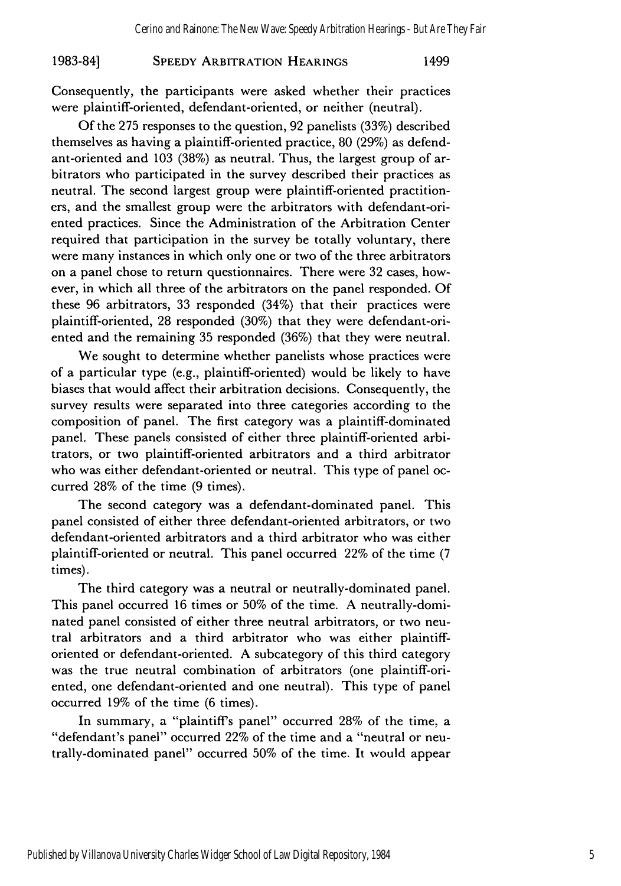#### **SPEEDY** ARBITRATION **HEARINGS 1983-841** 1499

Consequently, the participants were asked whether their practices were plaintiff-oriented, defendant-oriented, or neither (neutral).

Of the 275 responses to the question, 92 panelists (33%) described themselves as having a plaintiff-oriented practice, 80 (29%) as defendant-oriented and 103 (38%) as neutral. Thus, the largest group of arbitrators who participated in the survey described their practices as neutral. The second largest group were plaintiff-oriented practitioners, and the smallest group were the arbitrators with defendant-oriented practices. Since the Administration of the Arbitration Center required that participation in the survey be totally voluntary, there were many instances in which only one or two of the three arbitrators on a panel chose to return questionnaires. There were 32 cases, however, in which all three of the arbitrators on the panel responded. Of these 96 arbitrators, 33 responded (34%) that their practices were plaintiff-oriented, 28 responded (30%) that they were defendant-oriented and the remaining 35 responded (36%) that they were neutral.

We sought to determine whether panelists whose practices were of a particular type (e.g., plaintiff-oriented) would be likely to have biases that would affect their arbitration decisions. Consequently, the survey results were separated into three categories according to the composition of panel. The first category was a plaintiff-dominated panel. These panels consisted of either three plaintiff-oriented arbitrators, or two plaintiff-oriented arbitrators and a third arbitrator who was either defendant-oriented or neutral. This type of panel occurred 28% of the time (9 times).

The second category was a defendant-dominated panel. This panel consisted of either three defendant-oriented arbitrators, or two defendant-oriented arbitrators and a third arbitrator who was either plaintiff-oriented or neutral. This panel occurred 22% of the time (7 times).

The third category was a neutral or neutrally-dominated panel. This panel occurred 16 times or 50% of the time. A neutrally-dominated panel consisted of either three neutral arbitrators, or two neutral arbitrators and a third arbitrator who was either plaintifforiented or defendant-oriented. A subcategory of this third category was the true neutral combination of arbitrators (one plaintiff-oriented, one defendant-oriented and one neutral). This type of panel occurred 19% of the time (6 times).

In summary, a "plaintiff's panel" occurred 28% of the time, a "defendant's panel" occurred 22% of the time and a "neutral or neutrally-dominated panel" occurred 50% of the time. It would appear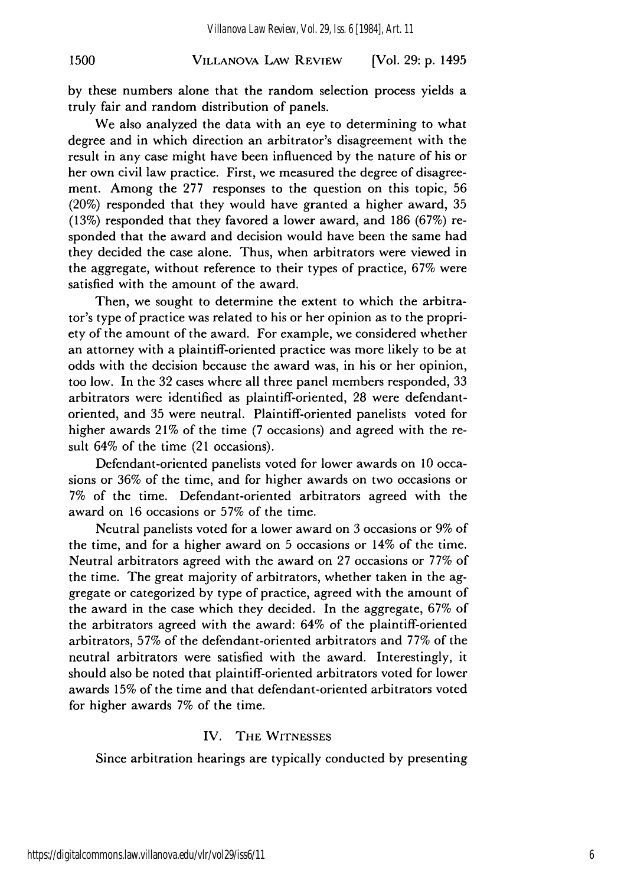## VILLANOVA LAW REVIEW **1500** [Vol. **29: p.** 1495

by these numbers alone that the random selection process yields a truly fair and random distribution of panels.

We also analyzed the data with an eye to determining to what degree and in which direction an arbitrator's disagreement with the result in any case might have been influenced by the nature of his or her own civil law practice. First, we measured the degree of disagreement. Among the 277 responses to the question on this topic, 56 (20%) responded that they would have granted a higher award, 35 (13%) responded that they favored a lower award, and 186 (67%) responded that the award and decision would have been the same had they decided the case alone. Thus, when arbitrators were viewed in the aggregate, without reference to their types of practice, 67% were satisfied with the amount of the award.

Then, we sought to determine the extent to which the arbitrator's type of practice was related to his or her opinion as to the propriety of the amount of the award. For example, we considered whether an attorney with a plaintiff-oriented practice was more likely to be at odds with the decision because the award was, in his or her opinion, too low. In the 32 cases where all three panel members responded, 33 arbitrators were identified as plaintiff-oriented, 28 were defendantoriented, and 35 were neutral. Plaintiff-oriented panelists voted for higher awards 21% of the time (7 occasions) and agreed with the result 64% of the time (21 occasions).

Defendant-oriented panelists voted for lower awards on 10 occasions or 36% of the time, and for higher awards on two occasions or 7% of the time. Defendant-oriented arbitrators agreed with the award on 16 occasions or 57% of the time.

Neutral panelists voted for a lower award on 3 occasions or 9% of the time, and for a higher award on 5 occasions or 14% of the time. Neutral arbitrators agreed with the award on 27 occasions or 77% of the time. The great majority of arbitrators, whether taken in the aggregate or categorized by type of practice, agreed with the amount of the award in the case which they decided. In the aggregate, 67% of the arbitrators agreed with the award: 64% of the plaintiff-oriented arbitrators, 57% of the defendant-oriented arbitrators and 77% of the neutral arbitrators were satisfied with the award. Interestingly, it should also be noted that plaintiff-oriented arbitrators voted for lower awards 15% of the time and that defendant-oriented arbitrators voted for higher awards 7% of the time.

### IV. THE **WITNESSES**

Since arbitration hearings are typically conducted by presenting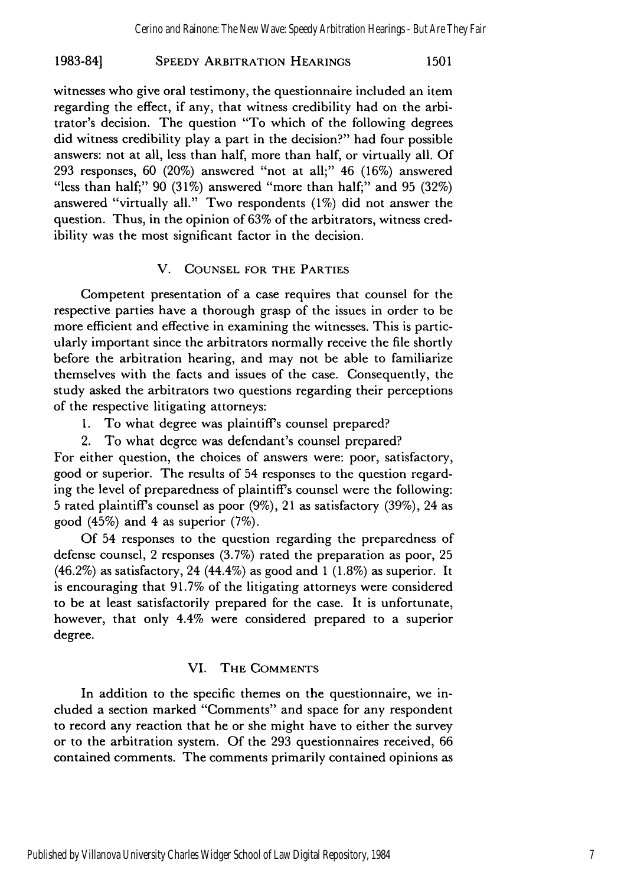## **SPEEDY** ARBITRATION HEARINGS **1983-84] 1501**

witnesses who give oral testimony, the questionnaire included an item regarding the effect, if any, that witness credibility had on the arbitrator's decision. The question "To which of the following degrees did witness credibility play a part in the decision?" had four possible answers: not at all, less than half, more than half, or virtually all. Of 293 responses, 60 (20%) answered "not at all;" 46 (16%) answered "less than half;"  $90$  ( $31\%$ ) answered "more than half;" and  $95$  ( $32\%$ ) answered "virtually all." Two respondents (1%) did not answer the question. Thus, in the opinion of 63% of the arbitrators, witness credibility was the most significant factor in the decision.

### V. **COUNSEL** FOR THE PARTIES

Competent presentation of a case requires that counsel for the respective parties have a thorough grasp of the issues in order to be more efficient and effective in examining the witnesses. This is particularly important since the arbitrators normally receive the file shortly before the arbitration hearing, and may not be able to familiarize themselves with the facts and issues of the case. Consequently, the study asked the arbitrators two questions regarding their perceptions of the respective litigating attorneys:

- 1. To what degree was plaintiff's counsel prepared?
- 2. To what degree was defendant's counsel prepared?

For either question, the choices of answers were: poor, satisfactory, good or superior. The results of 54 responses to the question regarding the level of preparedness of plaintiff's counsel were the following: 5 rated plaintiffs counsel as poor (9%), 21 as satisfactory (39%), 24 as good (45%) and 4 as superior (7%).

Of 54 responses to the question regarding the preparedness of defense counsel, 2 responses (3.7%) rated the preparation as poor, 25  $(46.2\%)$  as satisfactory, 24  $(44.4\%)$  as good and 1  $(1.8\%)$  as superior. It is encouraging that 91.7% of the litigating attorneys were considered to be at least satisfactorily prepared for the case. It is unfortunate, however, that only 4.4% were considered prepared to a superior degree.

## VI. THE **COMMENTS**

In addition to the specific themes on the questionnaire, we included a section marked "Comments" and space for any respondent to record any reaction that he or she might have to either the survey or to the arbitration system. Of the 293 questionnaires received, 66 contained comments. The comments primarily contained opinions as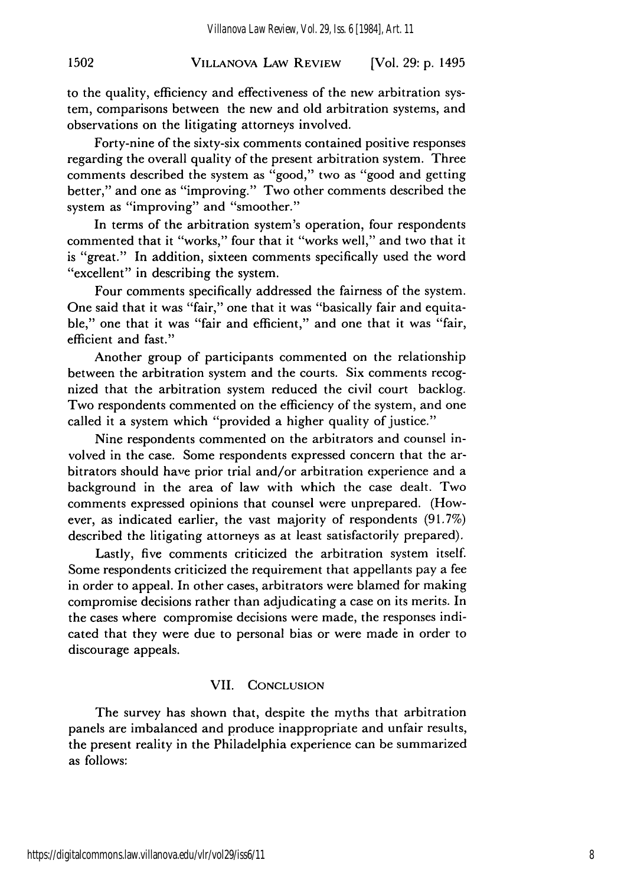## VILLANOVA LAW REVIEW **1502** [Vol. **29: p.** 1495

to the quality, efficiency and effectiveness of the new arbitration system, comparisons between the new and old arbitration systems, and observations on the litigating attorneys involved.

Forty-nine of the sixty-six comments contained positive responses regarding the overall quality of the present arbitration system. Three comments described the system as "good," two as "good and getting better," and one as "improving." Two other comments described the system as "improving" and "smoother."

In terms of the arbitration system's operation, four respondents commented that it "works," four that it "works well," and two that it is "great." In addition, sixteen comments specifically used the word "excellent" in describing the system.

Four comments specifically addressed the fairness of the system. One said that it was "fair," one that it was "basically fair and equitable," one that it was "fair and efficient," and one that it was "fair, efficient and fast."

Another group of participants commented on the relationship between the arbitration system and the courts. Six comments recognized that the arbitration system reduced the civil court backlog. Two respondents commented on the efficiency of the system, and one called it a system which "provided a higher quality of justice."

Nine respondents commented on the arbitrators and counsel involved in the case. Some respondents expressed concern that the arbitrators should have prior trial and/or arbitration experience and a background in the area of law with which the case dealt. Two comments expressed opinions that counsel were unprepared. (However, as indicated earlier, the vast majority of respondents (91.7%) described the litigating attorneys as at least satisfactorily prepared).

Lastly, five comments criticized the arbitration system itself. Some respondents criticized the requirement that appellants pay a fee in order to appeal. In other cases, arbitrators were blamed for making compromise decisions rather than adjudicating a case on its merits. In the cases where compromise decisions were made, the responses indicated that they were due to personal bias or were made in order to discourage appeals.

#### VII. CONCLUSION

The survey has shown that, despite the myths that arbitration panels are imbalanced and produce inappropriate and unfair results, the present reality in the Philadelphia experience can be summarized as follows: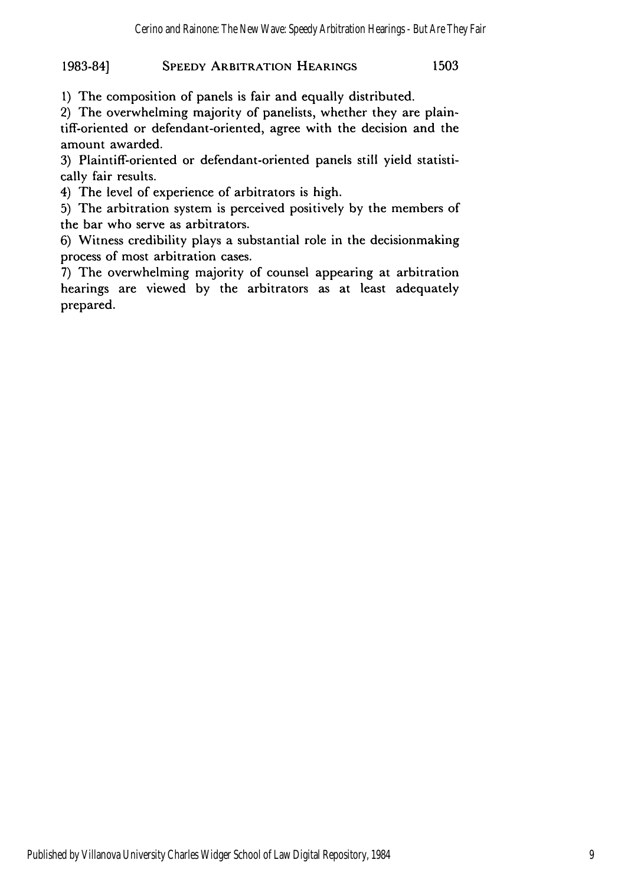# 1983-84] **SPEEDY** ARBITRATION **HEARINGS** 1503

1) The composition of panels is fair and equally distributed.

2) The overwhelming majority of panelists, whether they are plaintiff-oriented or defendant-oriented, agree with the decision and the amount awarded.

3) Plaintiff-oriented or defendant-oriented panels still yield statistically fair results.

4) The level of experience of arbitrators is high.

5) The arbitration system is perceived positively by the members of the bar who serve as arbitrators.

6) Witness credibility plays a substantial role in the decisionmaking process of most arbitration cases.

7) The overwhelming majority of counsel appearing at arbitration hearings are viewed by the arbitrators as at least adequately prepared.